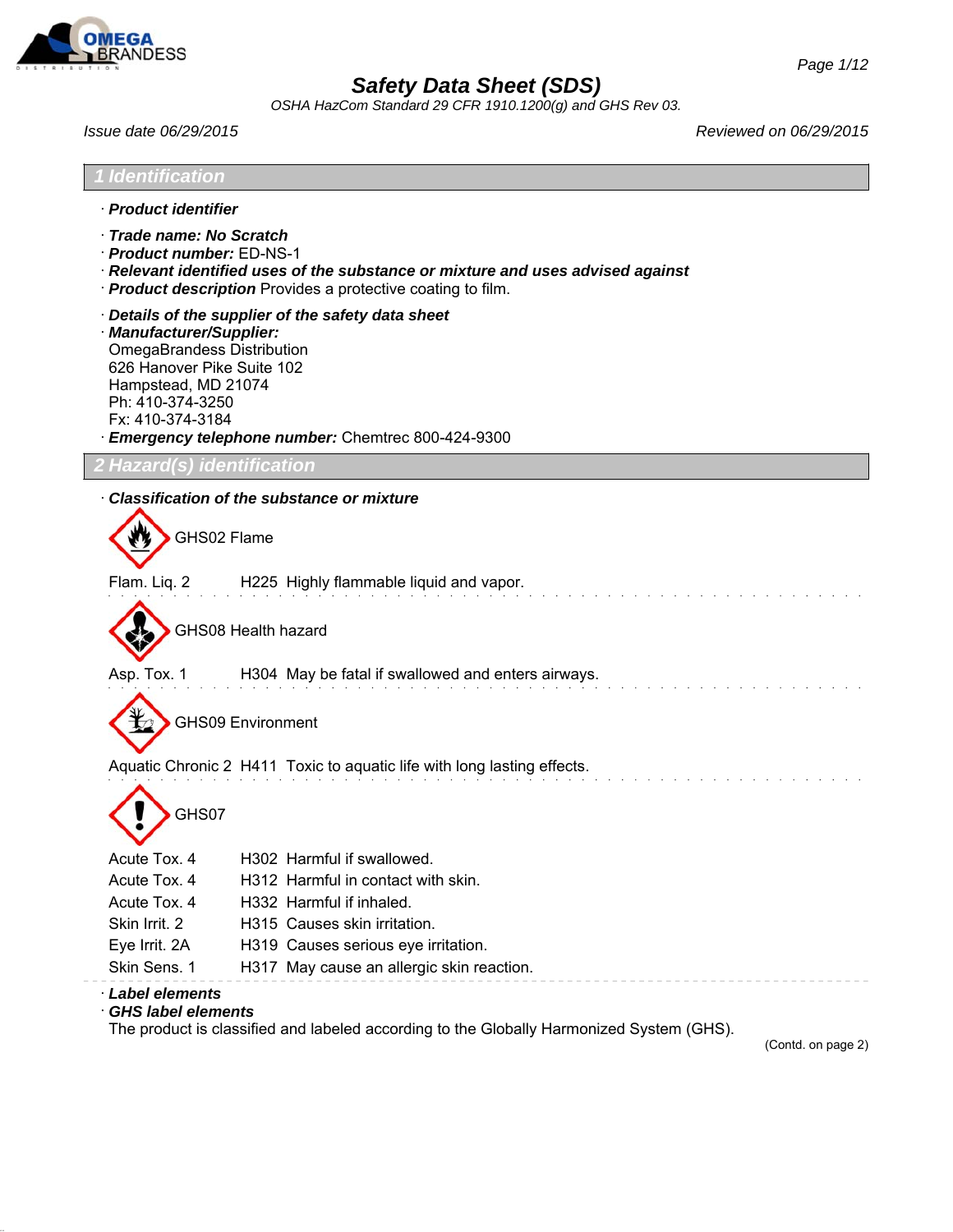

*OSHA HazCom Standard 29 CFR 1910.1200(g) and GHS Rev 03.*

*Issue date 06/29/2015 Reviewed on 06/29/2015*

| <i><b>I</b></i> Identification                                                                                                                             |                                                                                                                                                        |
|------------------------------------------------------------------------------------------------------------------------------------------------------------|--------------------------------------------------------------------------------------------------------------------------------------------------------|
| · Product identifier                                                                                                                                       |                                                                                                                                                        |
| · Trade name: No Scratch<br>· Product number: ED-NS-1                                                                                                      | · Relevant identified uses of the substance or mixture and uses advised against<br>· <b>Product description</b> Provides a protective coating to film. |
| · Manufacturer/Supplier:<br><b>OmegaBrandess Distribution</b><br>626 Hanover Pike Suite 102<br>Hampstead, MD 21074<br>Ph: 410-374-3250<br>Fx: 410-374-3184 | Details of the supplier of the safety data sheet<br>· Emergency telephone number: Chemtrec 800-424-9300                                                |
| <b>2 Hazard(s) identification</b>                                                                                                                          |                                                                                                                                                        |
|                                                                                                                                                            | Classification of the substance or mixture                                                                                                             |
| GHS02 Flame                                                                                                                                                |                                                                                                                                                        |
|                                                                                                                                                            | Flam. Liq. 2 H225 Highly flammable liquid and vapor.                                                                                                   |
|                                                                                                                                                            | GHS08 Health hazard                                                                                                                                    |
| Asp. Tox. 1                                                                                                                                                | H304 May be fatal if swallowed and enters airways.                                                                                                     |
|                                                                                                                                                            | <b>GHS09 Environment</b>                                                                                                                               |
|                                                                                                                                                            | Aquatic Chronic 2 H411 Toxic to aquatic life with long lasting effects.                                                                                |
| GHS07                                                                                                                                                      |                                                                                                                                                        |
| Acute Tox. 4                                                                                                                                               | H302 Harmful if swallowed.                                                                                                                             |
| Acute Tox. 4                                                                                                                                               | H312 Harmful in contact with skin.                                                                                                                     |
| Acute Tox. 4                                                                                                                                               | H332 Harmful if inhaled.                                                                                                                               |
| Skin Irrit. 2                                                                                                                                              | H315 Causes skin irritation.                                                                                                                           |
| Eye Irrit. 2A                                                                                                                                              | H319 Causes serious eye irritation.                                                                                                                    |
| Skin Sens. 1                                                                                                                                               | H317 May cause an allergic skin reaction.                                                                                                              |
| Label elements<br><b>GHS label elements</b>                                                                                                                |                                                                                                                                                        |

The product is classified and labeled according to the Globally Harmonized System (GHS).

(Contd. on page 2)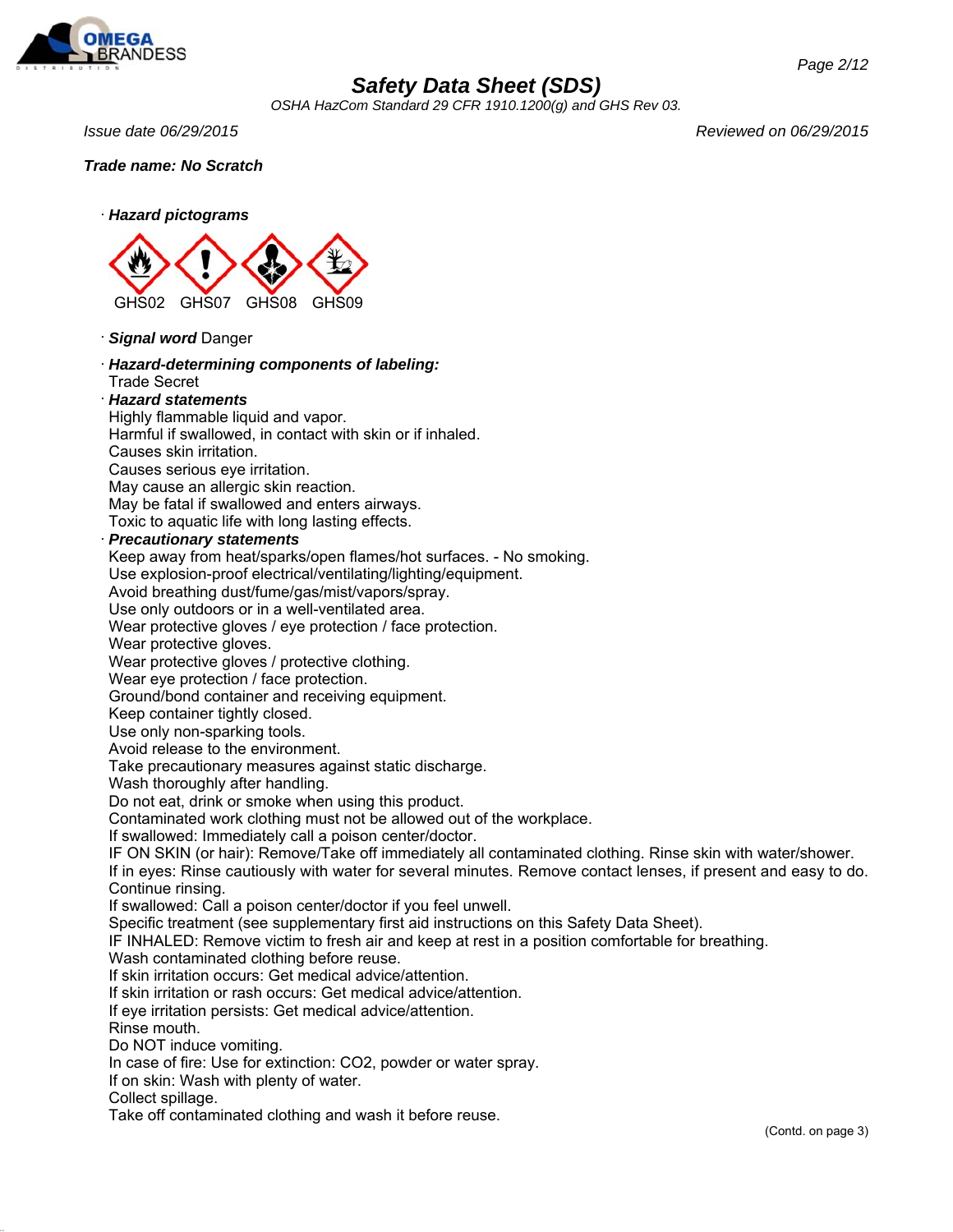

*OSHA HazCom Standard 29 CFR 1910.1200(g) and GHS Rev 03.*

*Issue date 06/29/2015 Reviewed on 06/29/2015*

*Trade name: No Scratch*



· *Signal word* Danger

· *Hazard-determining components of labeling:* Trade Secret

### · *Hazard statements*

Highly flammable liquid and vapor.

Harmful if swallowed, in contact with skin or if inhaled.

Causes skin irritation.

Causes serious eye irritation.

May cause an allergic skin reaction.

May be fatal if swallowed and enters airways.

Toxic to aquatic life with long lasting effects.

### · *Precautionary statements*

Keep away from heat/sparks/open flames/hot surfaces. - No smoking.

Use explosion-proof electrical/ventilating/lighting/equipment.

Avoid breathing dust/fume/gas/mist/vapors/spray.

Use only outdoors or in a well-ventilated area.

Wear protective gloves / eye protection / face protection.

Wear protective gloves.

Wear protective gloves / protective clothing.

Wear eye protection / face protection.

Ground/bond container and receiving equipment.

Keep container tightly closed.

Use only non-sparking tools.

Avoid release to the environment.

Take precautionary measures against static discharge.

Wash thoroughly after handling.

Do not eat, drink or smoke when using this product.

Contaminated work clothing must not be allowed out of the workplace.

If swallowed: Immediately call a poison center/doctor.

IF ON SKIN (or hair): Remove/Take off immediately all contaminated clothing. Rinse skin with water/shower.

If in eyes: Rinse cautiously with water for several minutes. Remove contact lenses, if present and easy to do. Continue rinsing.

If swallowed: Call a poison center/doctor if you feel unwell.

Specific treatment (see supplementary first aid instructions on this Safety Data Sheet).

IF INHALED: Remove victim to fresh air and keep at rest in a position comfortable for breathing.

Wash contaminated clothing before reuse.

If skin irritation occurs: Get medical advice/attention.

If skin irritation or rash occurs: Get medical advice/attention.

If eye irritation persists: Get medical advice/attention.

Rinse mouth.

Do NOT induce vomiting.

In case of fire: Use for extinction: CO2, powder or water spray.

If on skin: Wash with plenty of water.

Collect spillage.

Take off contaminated clothing and wash it before reuse.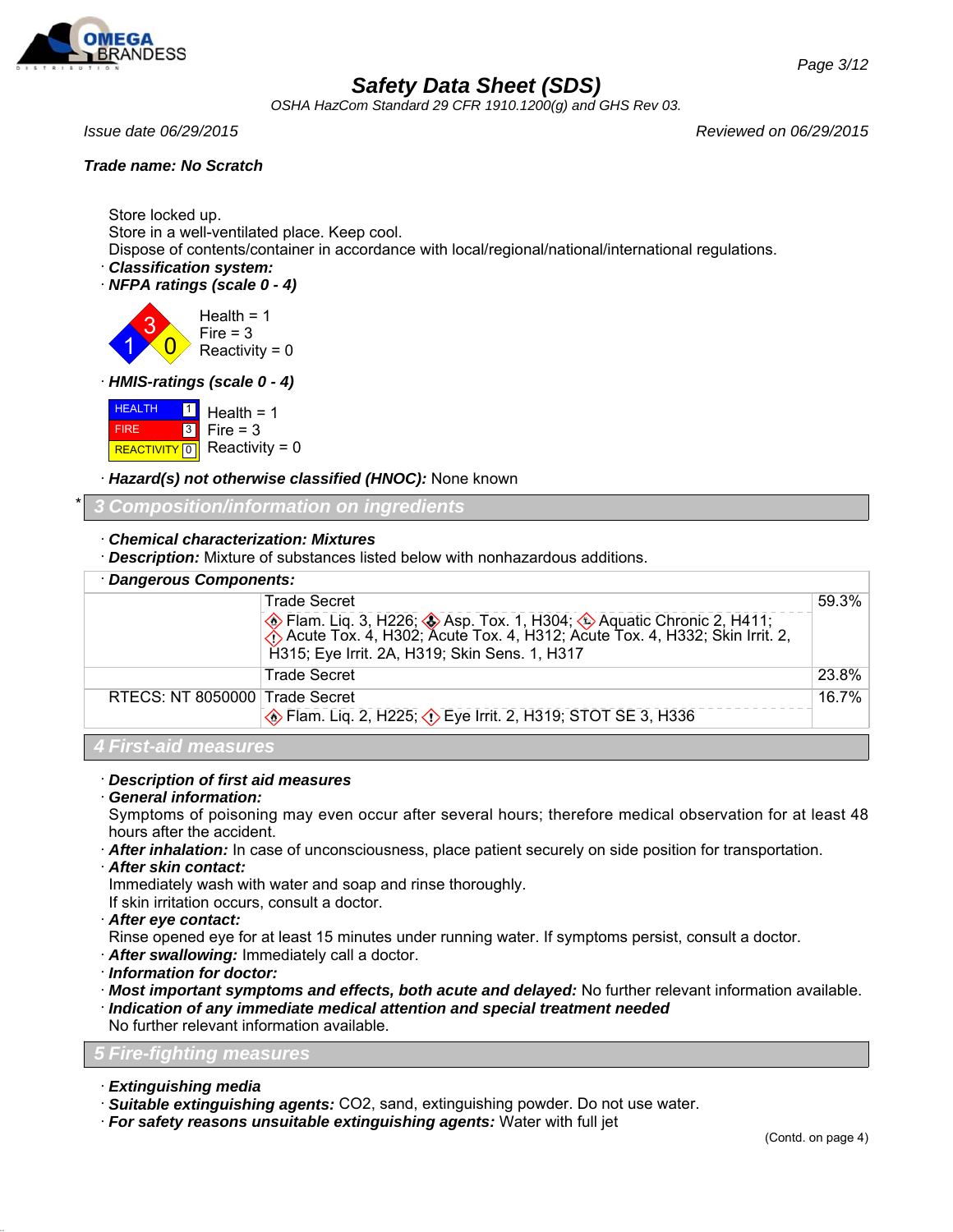

*OSHA HazCom Standard 29 CFR 1910.1200(g) and GHS Rev 03.*

### *Trade name: No Scratch*

*Issue date 06/29/2015 Reviewed on 06/29/2015*

Store locked up. Store in a well-ventilated place. Keep cool.

Dispose of contents/container in accordance with local/regional/national/international regulations.

· *Classification system:*

· *NFPA ratings (scale 0 - 4)*

1 3  $\overline{\mathbf{0}}$  $Health = 1$  $Fire = 3$ Reactivity =  $0$ 

· *HMIS-ratings (scale 0 - 4)*

**HEALTH**  FIRE **REACTIVITY** 0  $\boxed{1}$ 3 Health  $= 1$  $Fire = 3$  $Reactivity = 0$ 

· *Hazard(s) not otherwise classified (HNOC):* None known

## \* *3 Composition/information on ingredients*

### · *Chemical characterization: Mixtures*

· *Description:* Mixture of substances listed below with nonhazardous additions.

| <b>Dangerous Components:</b>   |                                                                                                                                                                                                     |       |
|--------------------------------|-----------------------------------------------------------------------------------------------------------------------------------------------------------------------------------------------------|-------|
|                                | <b>Trade Secret</b>                                                                                                                                                                                 | 59.3% |
|                                | ◆ Flam. Liq. 3, H226; ◆ Asp. Tox. 1, H304; ◆ Aquatic Chronic 2, H411;<br>◆ Acute Tox. 4, H302; Acute Tox. 4, H312; Acute Tox. 4, H332; Skin Irrit. 2, H315; Eye Irrit. 2A, H319; Skin Sens. 1, H317 |       |
|                                | <b>Trade Secret</b>                                                                                                                                                                                 | 23.8% |
| RTECS: NT 8050000 Trade Secret |                                                                                                                                                                                                     | 16.7% |
|                                | Flam. Liq. 2, H225; $\Diamond$ Eye Irrit. 2, H319; STOT SE 3, H336                                                                                                                                  |       |
|                                |                                                                                                                                                                                                     |       |

## *4 First-aid measures*

## · *Description of first aid measures*

### · *General information:*

Symptoms of poisoning may even occur after several hours; therefore medical observation for at least 48 hours after the accident.

- · *After inhalation:* In case of unconsciousness, place patient securely on side position for transportation.
- · *After skin contact:*

Immediately wash with water and soap and rinse thoroughly.

If skin irritation occurs, consult a doctor.

- · *After eye contact:*
- Rinse opened eye for at least 15 minutes under running water. If symptoms persist, consult a doctor.
- · *After swallowing:* Immediately call a doctor.
- · *Information for doctor:*
- · *Most important symptoms and effects, both acute and delayed:* No further relevant information available.
- · *Indication of any immediate medical attention and special treatment needed* No further relevant information available.

## *5 Fire-fighting measures*

- · *Extinguishing media*
- · *Suitable extinguishing agents:* CO2, sand, extinguishing powder. Do not use water.
- · *For safety reasons unsuitable extinguishing agents:* Water with full jet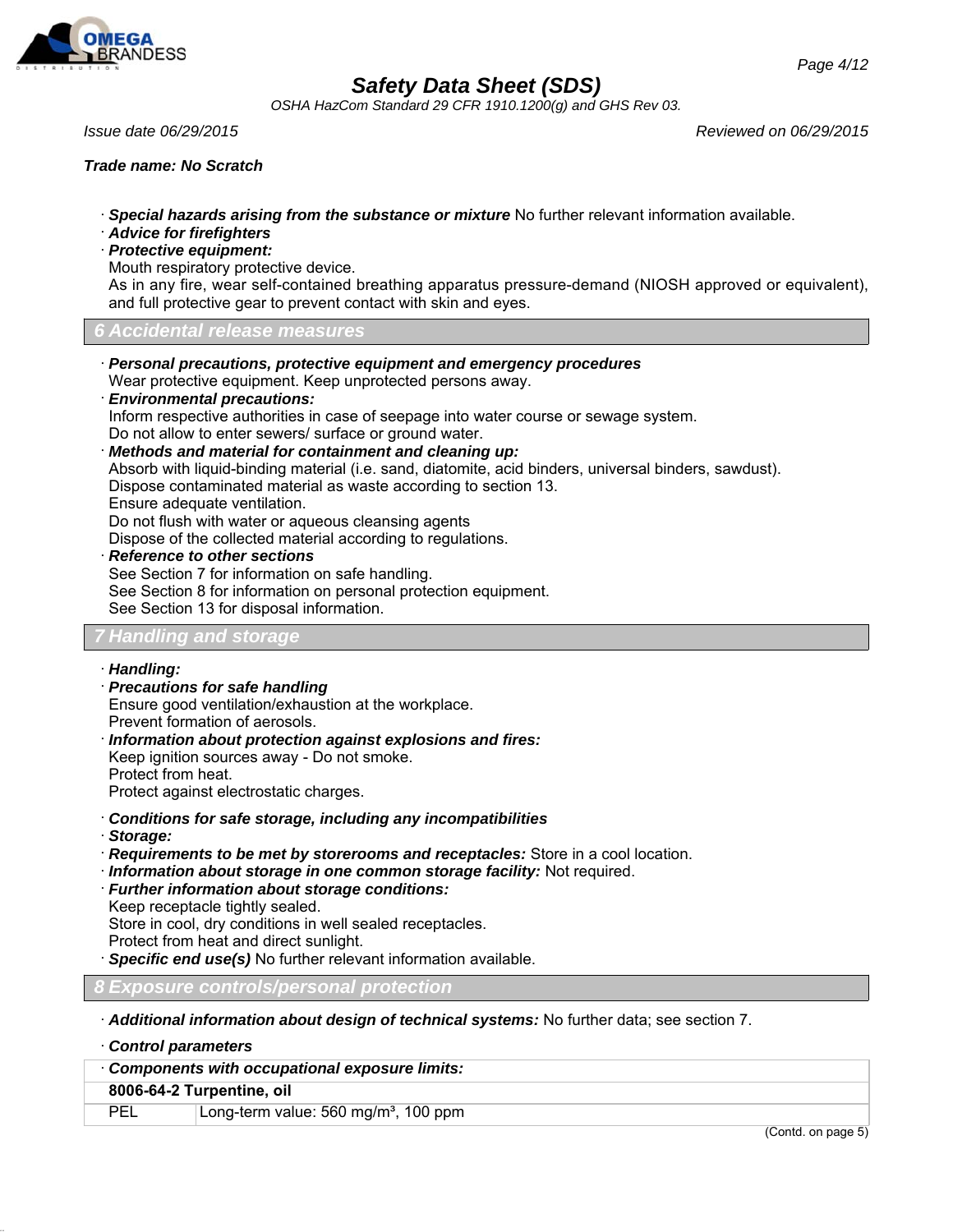

*OSHA HazCom Standard 29 CFR 1910.1200(g) and GHS Rev 03.*

*Issue date 06/29/2015 Reviewed on 06/29/2015*

### *Trade name: No Scratch*

- · *Special hazards arising from the substance or mixture* No further relevant information available.
- · *Advice for firefighters*
- · *Protective equipment:*
- Mouth respiratory protective device.

As in any fire, wear self-contained breathing apparatus pressure-demand (NIOSH approved or equivalent), and full protective gear to prevent contact with skin and eyes.

*6 Accidental release measures*

- · *Personal precautions, protective equipment and emergency procedures* Wear protective equipment. Keep unprotected persons away.
- · *Environmental precautions:*

Inform respective authorities in case of seepage into water course or sewage system. Do not allow to enter sewers/ surface or ground water.

· *Methods and material for containment and cleaning up:*

Absorb with liquid-binding material (i.e. sand, diatomite, acid binders, universal binders, sawdust).

Dispose contaminated material as waste according to section 13.

Ensure adequate ventilation.

Do not flush with water or aqueous cleansing agents

Dispose of the collected material according to regulations.

· *Reference to other sections*

See Section 7 for information on safe handling. See Section 8 for information on personal protection equipment.

See Section 13 for disposal information.

## *7 Handling and storage*

- · *Handling:*
- · *Precautions for safe handling*

Ensure good ventilation/exhaustion at the workplace.

- Prevent formation of aerosols.
- · *Information about protection against explosions and fires:* Keep ignition sources away - Do not smoke. Protect from heat.

Protect against electrostatic charges.

- · *Conditions for safe storage, including any incompatibilities*
- · *Storage:*
- · *Requirements to be met by storerooms and receptacles:* Store in a cool location.
- · *Information about storage in one common storage facility:* Not required.
- · *Further information about storage conditions:*

Keep receptacle tightly sealed.

Store in cool, dry conditions in well sealed receptacles.

Protect from heat and direct sunlight.

· *Specific end use(s)* No further relevant information available.

*8 Exposure controls/personal protection*

· *Additional information about design of technical systems:* No further data; see section 7.

· *Control parameters*

| Components with occupational exposure limits: |                                                  |                       |
|-----------------------------------------------|--------------------------------------------------|-----------------------|
| 8006-64-2 Turpentine, oil                     |                                                  |                       |
| <b>PEL</b>                                    | Long-term value: 560 mg/m <sup>3</sup> , 100 ppm |                       |
|                                               |                                                  | $\sqrt{2}$ $\sqrt{2}$ |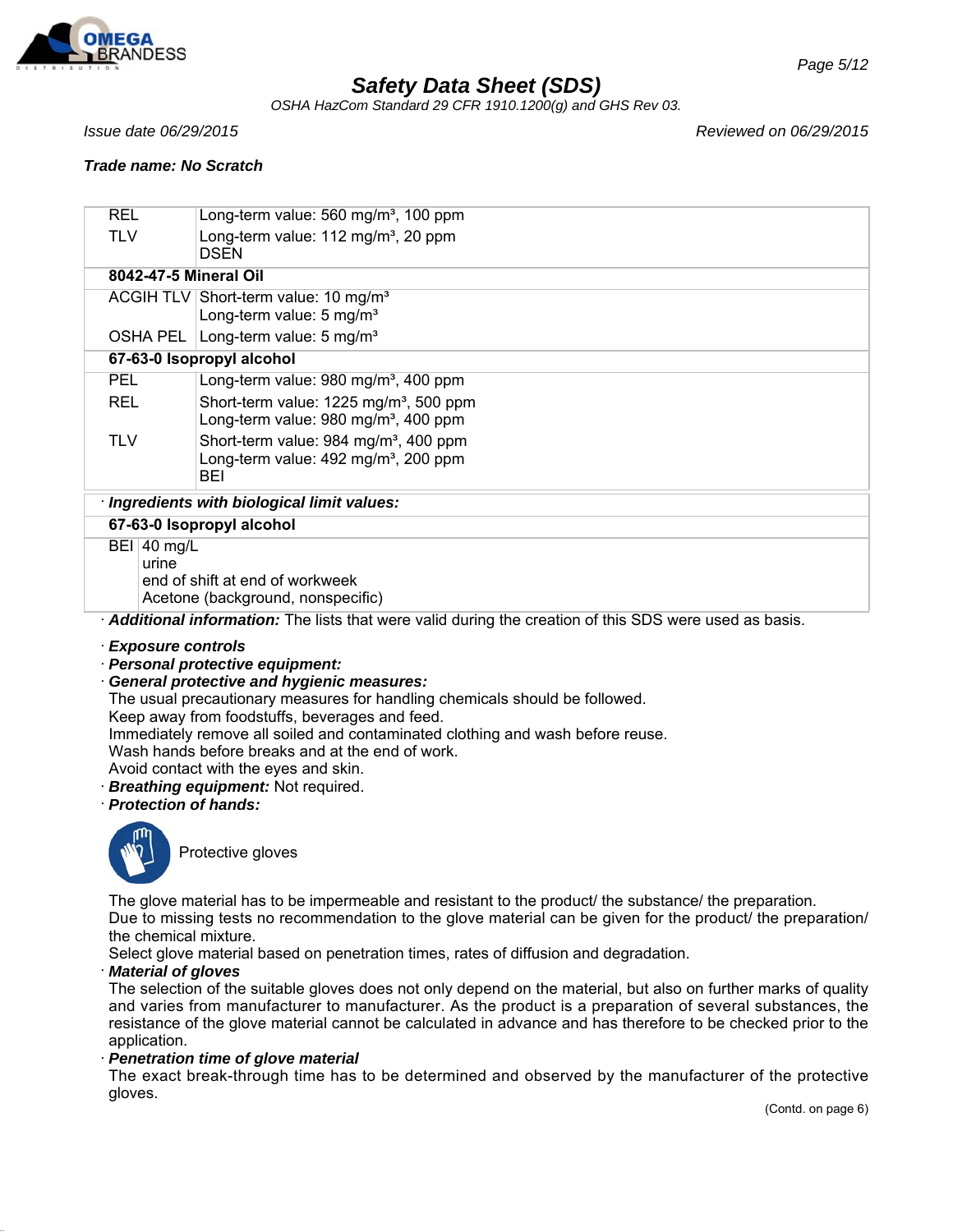

*OSHA HazCom Standard 29 CFR 1910.1200(g) and GHS Rev 03.*

*Issue date 06/29/2015 Reviewed on 06/29/2015*

### *Trade name: No Scratch*

| <b>REL</b> |                                           | Long-term value: $560 \text{ mg/m}^3$ , 100 ppm                                                                     |  |  |
|------------|-------------------------------------------|---------------------------------------------------------------------------------------------------------------------|--|--|
| <b>TLV</b> |                                           | Long-term value: 112 mg/m <sup>3</sup> , 20 ppm<br><b>DSEN</b>                                                      |  |  |
|            |                                           | 8042-47-5 Mineral Oil                                                                                               |  |  |
|            |                                           | ACGIH TLV Short-term value: 10 mg/m <sup>3</sup><br>Long-term value: 5 mg/m <sup>3</sup>                            |  |  |
|            | OSHA PEL                                  | Long-term value: 5 mg/m <sup>3</sup>                                                                                |  |  |
|            | 67-63-0 Isopropyl alcohol                 |                                                                                                                     |  |  |
| <b>PEL</b> |                                           | Long-term value: 980 mg/m <sup>3</sup> , 400 ppm                                                                    |  |  |
| <b>REL</b> |                                           | Short-term value: 1225 mg/m <sup>3</sup> , 500 ppm<br>Long-term value: $980 \text{ mg/m}^3$ , 400 ppm               |  |  |
| <b>TLV</b> |                                           | Short-term value: 984 mg/m <sup>3</sup> , 400 ppm<br>Long-term value: 492 mg/m <sup>3</sup> , 200 ppm<br><b>BEI</b> |  |  |
|            | Ingredients with biological limit values: |                                                                                                                     |  |  |
|            |                                           | 67-63-0 Isopropyl alcohol                                                                                           |  |  |
|            | BEI 40 mg/L<br>urine                      | end of shift at end of workweek<br>Acetone (background, nonspecific)                                                |  |  |

· *Additional information:* The lists that were valid during the creation of this SDS were used as basis.

· *Exposure controls*

· *Personal protective equipment:*

· *General protective and hygienic measures:*

The usual precautionary measures for handling chemicals should be followed.

Keep away from foodstuffs, beverages and feed.

Immediately remove all soiled and contaminated clothing and wash before reuse.

Wash hands before breaks and at the end of work.

Avoid contact with the eyes and skin.

· *Breathing equipment:* Not required.

· *Protection of hands:*



Protective gloves

The glove material has to be impermeable and resistant to the product/ the substance/ the preparation. Due to missing tests no recommendation to the glove material can be given for the product/ the preparation/ the chemical mixture.

Select glove material based on penetration times, rates of diffusion and degradation.

### · *Material of gloves*

The selection of the suitable gloves does not only depend on the material, but also on further marks of quality and varies from manufacturer to manufacturer. As the product is a preparation of several substances, the resistance of the glove material cannot be calculated in advance and has therefore to be checked prior to the application.

· *Penetration time of glove material*

The exact break-through time has to be determined and observed by the manufacturer of the protective gloves.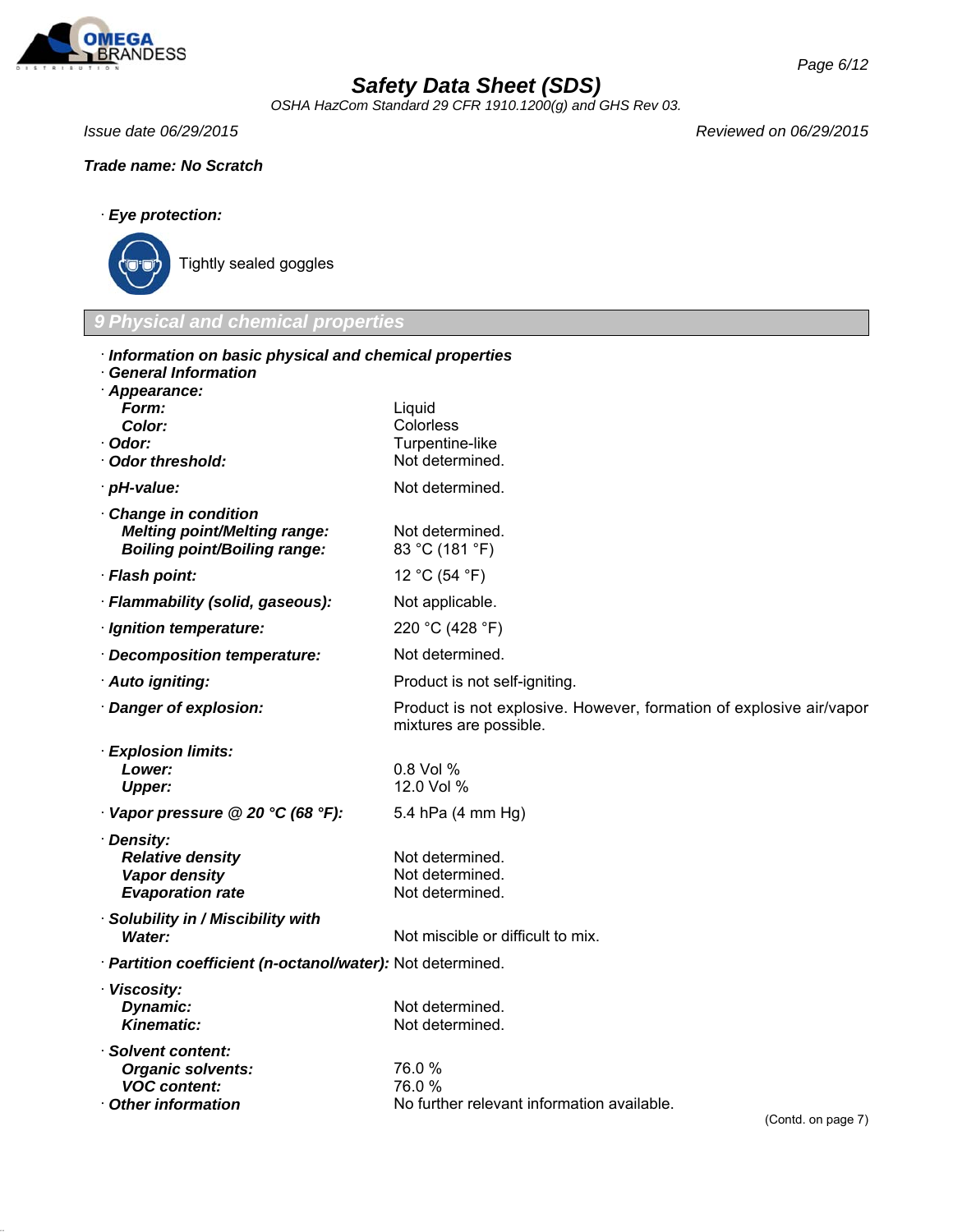

*OSHA HazCom Standard 29 CFR 1910.1200(g) and GHS Rev 03.*

*Issue date 06/29/2015 Reviewed on 06/29/2015*

## *Trade name: No Scratch*

## · *Eye protection:*



Tightly sealed goggles

## *9 Physical and chemical properties*

| Information on basic physical and chemical properties<br><b>General Information</b> |                                                                                               |  |  |
|-------------------------------------------------------------------------------------|-----------------------------------------------------------------------------------------------|--|--|
| Appearance:                                                                         |                                                                                               |  |  |
| Form:                                                                               | Liquid                                                                                        |  |  |
| Color:<br>Odor:                                                                     | Colorless<br>Turpentine-like                                                                  |  |  |
| <b>Odor threshold:</b>                                                              | Not determined.                                                                               |  |  |
| · pH-value:                                                                         | Not determined.                                                                               |  |  |
| <b>Change in condition</b>                                                          |                                                                                               |  |  |
| <b>Melting point/Melting range:</b><br><b>Boiling point/Boiling range:</b>          | Not determined.<br>83 °C (181 °F)                                                             |  |  |
| · Flash point:                                                                      | 12 °C (54 °F)                                                                                 |  |  |
| · Flammability (solid, gaseous):                                                    | Not applicable.                                                                               |  |  |
| · Ignition temperature:                                                             | 220 °C (428 °F)                                                                               |  |  |
| Decomposition temperature:                                                          | Not determined.                                                                               |  |  |
| · Auto igniting:                                                                    | Product is not self-igniting.                                                                 |  |  |
| Danger of explosion:                                                                | Product is not explosive. However, formation of explosive air/vapor<br>mixtures are possible. |  |  |
| <b>Explosion limits:</b>                                                            |                                                                                               |  |  |
| Lower:                                                                              | 0.8 Vol %                                                                                     |  |  |
| <b>Upper:</b>                                                                       | 12.0 Vol %                                                                                    |  |  |
| Vapor pressure @ 20 °C (68 °F):                                                     | 5.4 hPa (4 mm Hg)                                                                             |  |  |
| · Density:                                                                          |                                                                                               |  |  |
| <b>Relative density</b><br>Vapor density                                            | Not determined.<br>Not determined.                                                            |  |  |
| <b>Evaporation rate</b>                                                             | Not determined.                                                                               |  |  |
| <b>Solubility in / Miscibility with</b>                                             |                                                                                               |  |  |
| <b>Water:</b>                                                                       | Not miscible or difficult to mix.                                                             |  |  |
| · Partition coefficient (n-octanol/water): Not determined.                          |                                                                                               |  |  |
| · Viscosity:                                                                        |                                                                                               |  |  |
| Dynamic:<br><b>Kinematic:</b>                                                       | Not determined.<br>Not determined.                                                            |  |  |
|                                                                                     |                                                                                               |  |  |
| Solvent content:<br><b>Organic solvents:</b>                                        | 76.0%                                                                                         |  |  |
| <b>VOC content:</b>                                                                 | 76.0%                                                                                         |  |  |
| <b>Other information</b>                                                            | No further relevant information available.<br>$(Contd)$ on nane $7)$                          |  |  |
|                                                                                     |                                                                                               |  |  |

(Contd. on page  $7$ )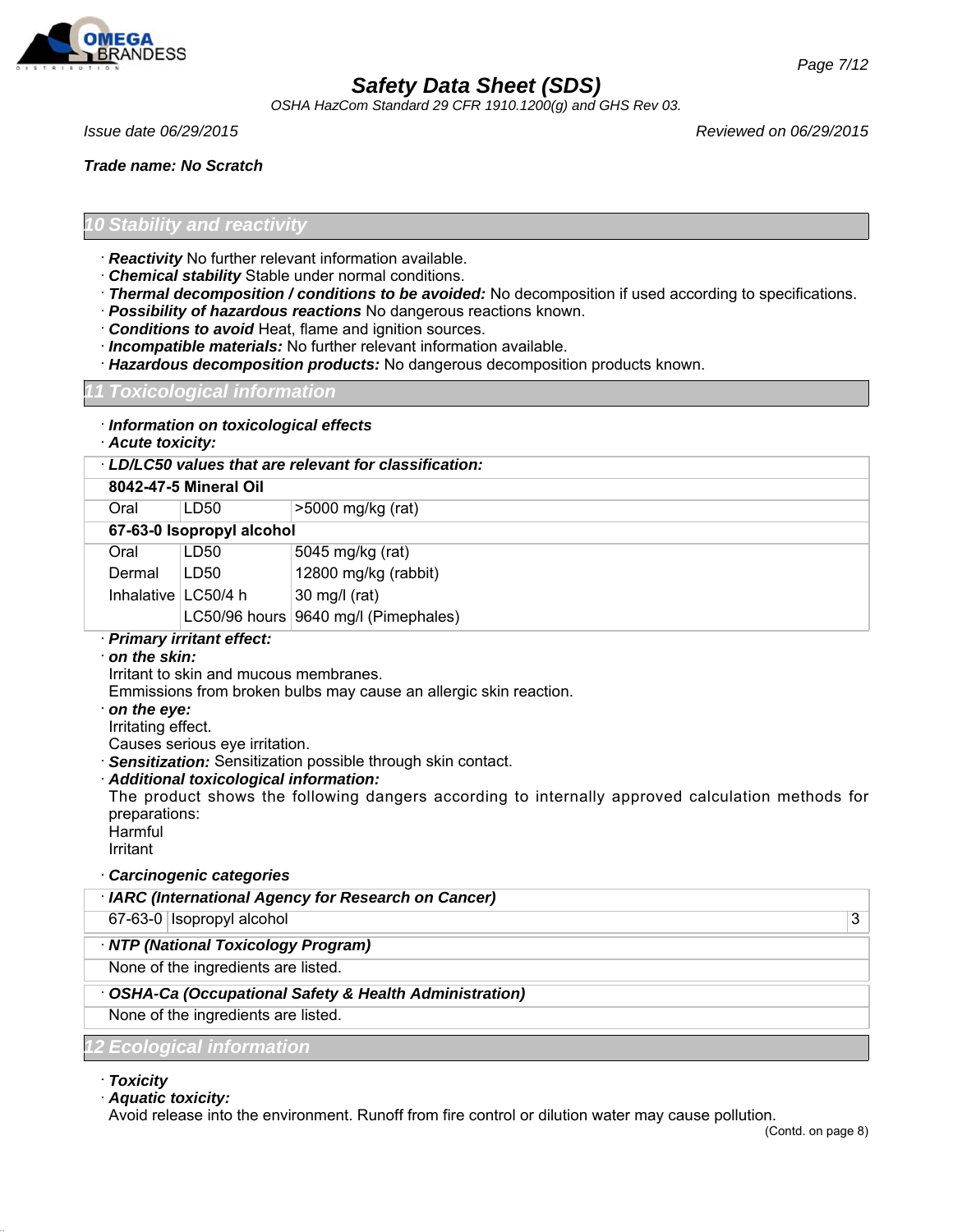

*OSHA HazCom Standard 29 CFR 1910.1200(g) and GHS Rev 03.*

*Issue date 06/29/2015 Reviewed on 06/29/2015*

*Trade name: No Scratch*

*Page 7/12*

### *10 Stability and reactivity*

- · *Reactivity* No further relevant information available.
- · *Chemical stability* Stable under normal conditions.
- · *Thermal decomposition / conditions to be avoided:* No decomposition if used according to specifications.
- · *Possibility of hazardous reactions* No dangerous reactions known.
- · *Conditions to avoid* Heat, flame and ignition sources.
- · *Incompatible materials:* No further relevant information available.
- · *Hazardous decomposition products:* No dangerous decomposition products known.

### *11 Toxicological information*

- · *Information on toxicological effects*
- · *Acute toxicity:*

|                       | LD/LC50 values that are relevant for classification: |                                      |  |
|-----------------------|------------------------------------------------------|--------------------------------------|--|
|                       | 8042-47-5 Mineral Oil                                |                                      |  |
| Oral                  | LD50                                                 | >5000 mg/kg (rat)                    |  |
|                       | 67-63-0 Isopropyl alcohol                            |                                      |  |
| Oral                  | LD50                                                 | 5045 mg/kg (rat)                     |  |
| Dermal                | LD50                                                 | 12800 mg/kg (rabbit)                 |  |
| Inhalative $LC50/4 h$ |                                                      | $30 \text{ mg/l}$ (rat)              |  |
|                       |                                                      | LC50/96 hours 9640 mg/l (Pimephales) |  |
|                       | Dalmann i bailteal effect:                           |                                      |  |

### · *Primary irritant effect:*

· *on the skin:*

Irritant to skin and mucous membranes.

Emmissions from broken bulbs may cause an allergic skin reaction.

- · *on the eye:*
- Irritating effect.

Causes serious eye irritation.

· *Sensitization:* Sensitization possible through skin contact.

· *Additional toxicological information:*

The product shows the following dangers according to internally approved calculation methods for preparations:

Harmful Irritant

· *Carcinogenic categories*

| · IARC (International Agency for Research on Cancer)    |   |
|---------------------------------------------------------|---|
| 67-63-0 Isopropyl alcohol                               | 3 |
| · NTP (National Toxicology Program)                     |   |
| None of the ingredients are listed.                     |   |
| · OSHA-Ca (Occupational Safety & Health Administration) |   |
| None of the ingredients are listed.                     |   |
| 12 Ecological information                               |   |

· *Toxicity*

· *Aquatic toxicity:*

Avoid release into the environment. Runoff from fire control or dilution water may cause pollution.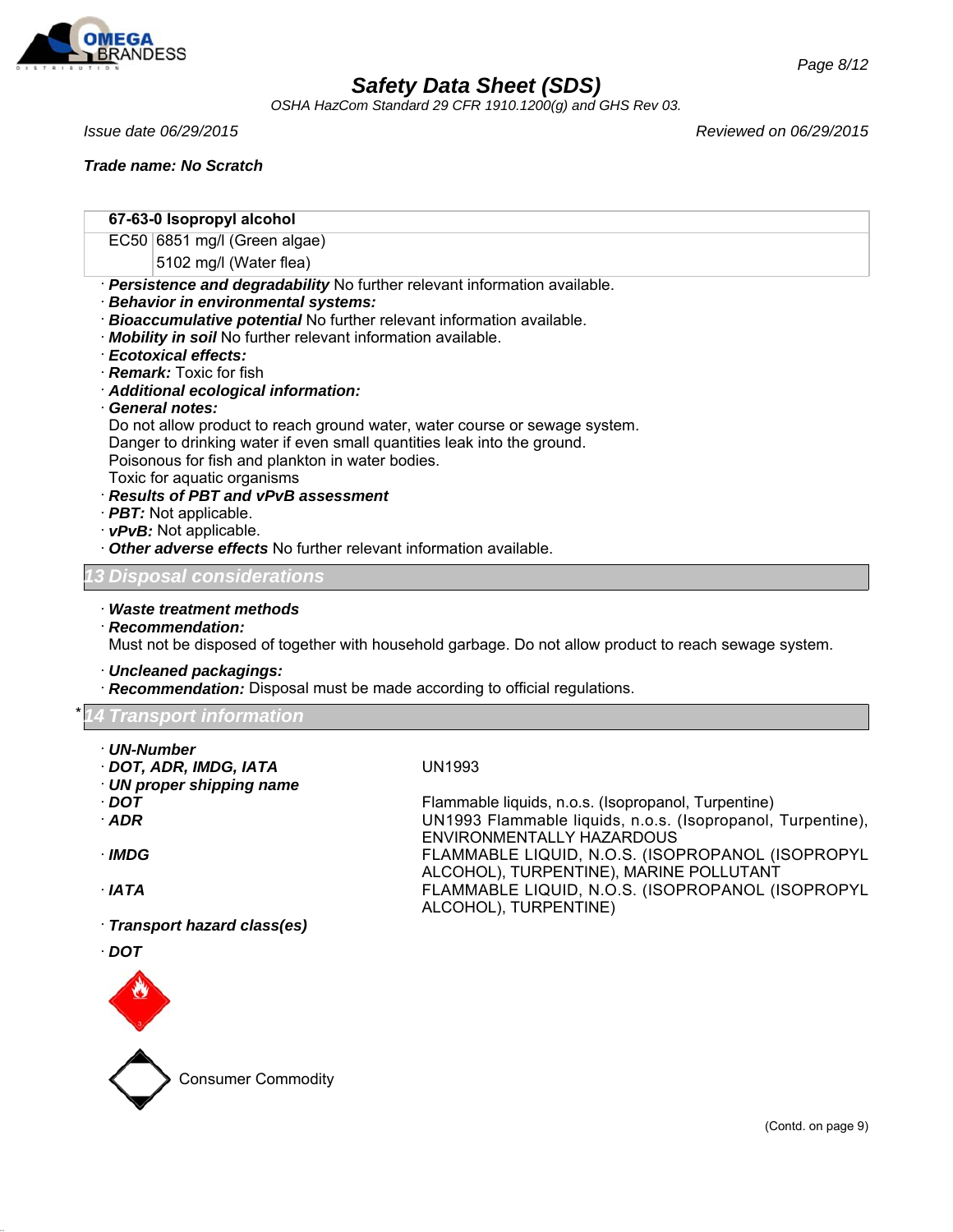

*OSHA HazCom Standard 29 CFR 1910.1200(g) and GHS Rev 03.*

*Trade name: No Scratch*

**67-63-0 Isopropyl alcohol**

EC50 6851 mg/l (Green algae)

- 5102 mg/l (Water flea)
- · *Persistence and degradability* No further relevant information available.
- · *Behavior in environmental systems:*
- · *Bioaccumulative potential* No further relevant information available.
- · *Mobility in soil* No further relevant information available.
- · *Ecotoxical effects:*
- · *Remark:* Toxic for fish
- · *Additional ecological information:*
- · *General notes:*

Do not allow product to reach ground water, water course or sewage system. Danger to drinking water if even small quantities leak into the ground.

Poisonous for fish and plankton in water bodies.

Toxic for aquatic organisms

- · *Results of PBT and vPvB assessment*
- · *PBT:* Not applicable.
- · *vPvB:* Not applicable.
- · *Other adverse effects* No further relevant information available.

### *13 Disposal considerations*

### · *Waste treatment methods*

· *Recommendation:*

Must not be disposed of together with household garbage. Do not allow product to reach sewage system.

ENVIRONMENTALLY HAZARDOUS

ALCOHOL), TURPENTINE)

ALCOHOL), TURPENTINE), MARINE POLLUTANT

· *Uncleaned packagings:*

· *Recommendation:* Disposal must be made according to official regulations.

\* *14 Transport information*

- · *UN-Number*
- · *DOT, ADR, IMDG, IATA* UN1993
- · *UN proper shipping name*
- · *DOT* Flammable liquids, n.o.s. (Isopropanol, Turpentine)
- · *ADR* UN1993 Flammable liquids, n.o.s. (Isopropanol, Turpentine),

· *IMDG* FLAMMABLE LIQUID, N.O.S. (ISOPROPANOL (ISOPROPYL

- · *IATA* FLAMMABLE LIQUID, N.O.S. (ISOPROPANOL (ISOPROPYL
- · *Transport hazard class(es)*
- · *DOT*



Consumer Commodity

*Issue date 06/29/2015 Reviewed on 06/29/2015*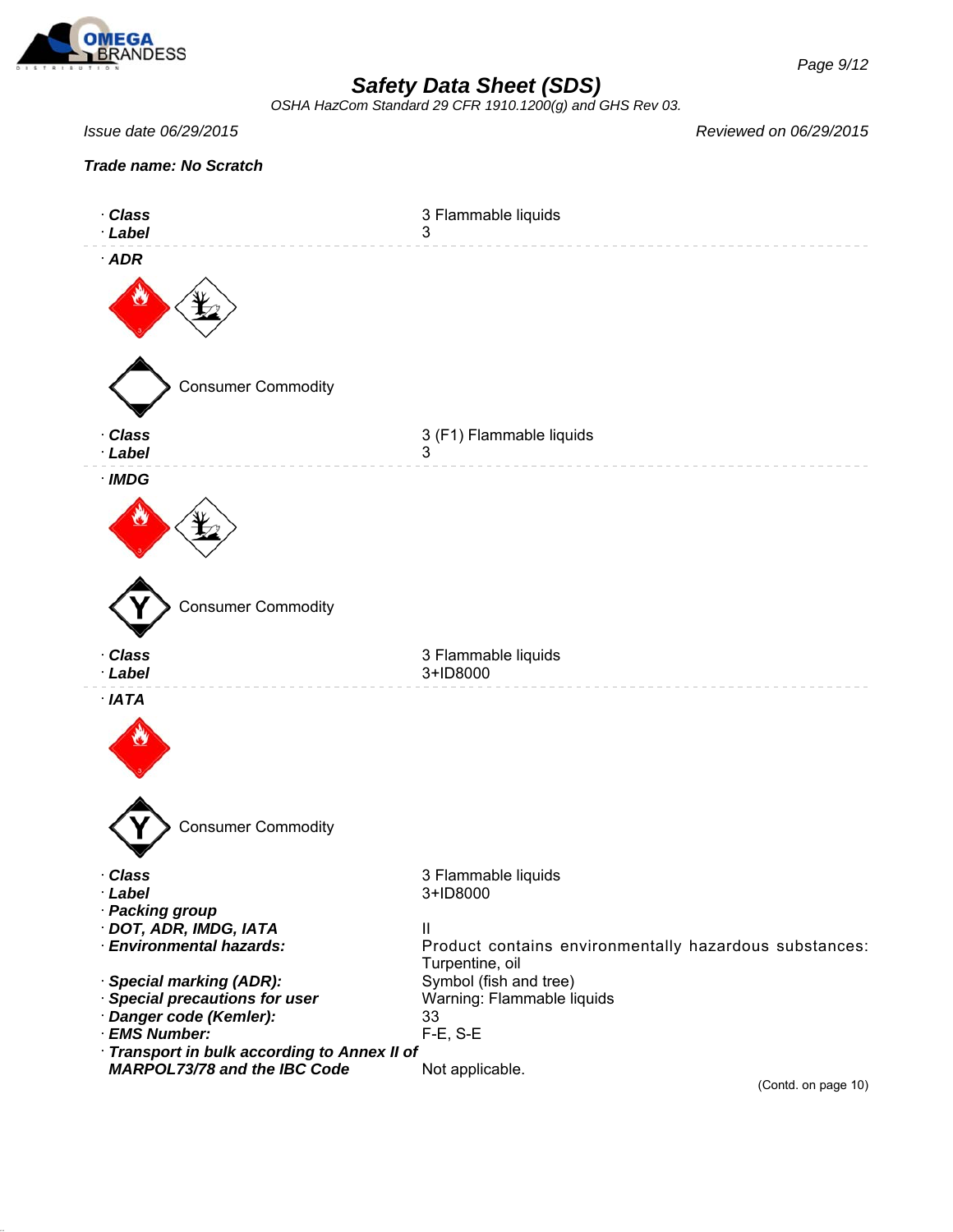

*OSHA HazCom Standard 29 CFR 1910.1200(g) and GHS Rev 03.*

*Issue date 06/29/2015 Reviewed on 06/29/2015*



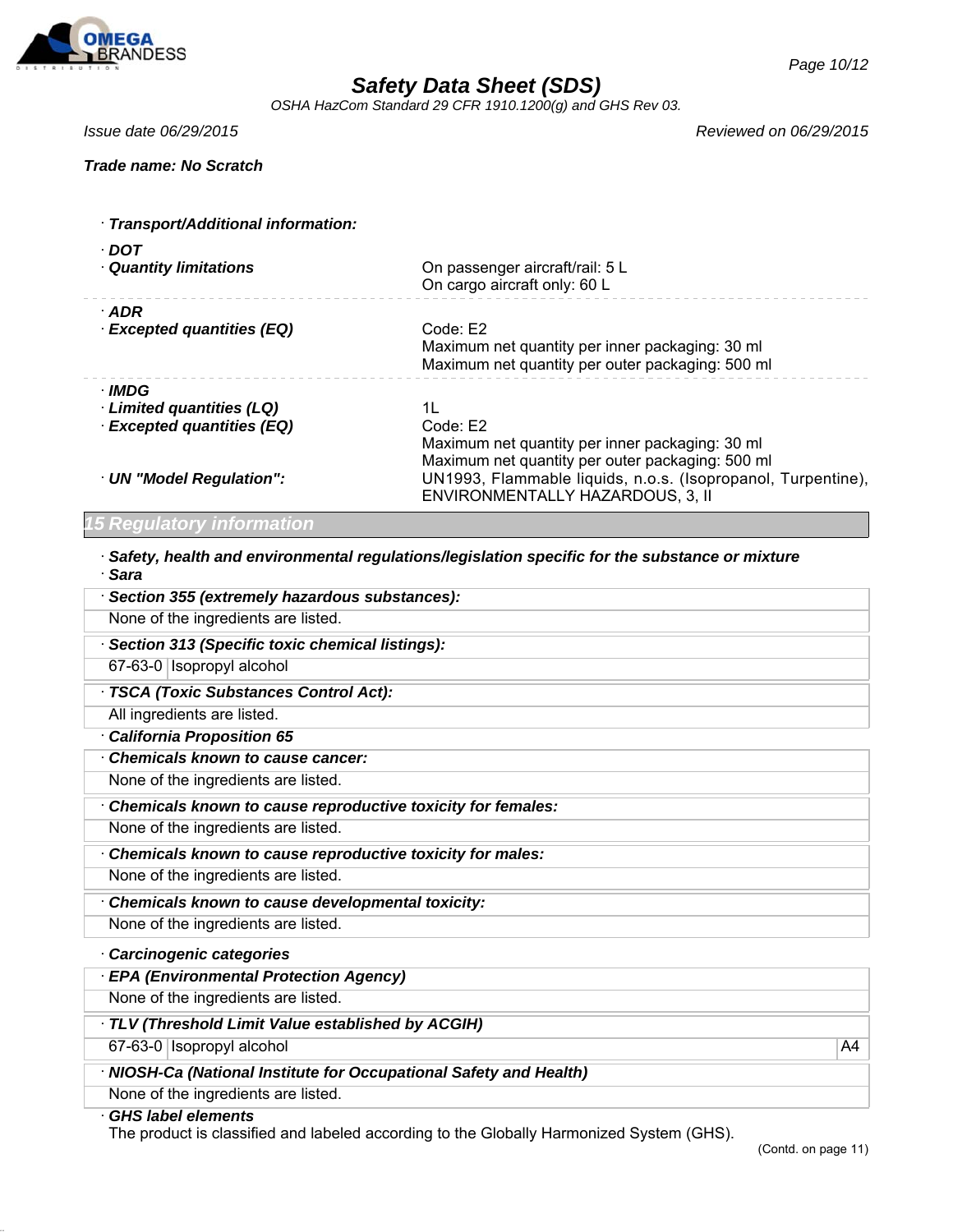

*OSHA HazCom Standard 29 CFR 1910.1200(g) and GHS Rev 03.*

*Page 10/12*

*Issue date 06/29/2015 Reviewed on 06/29/2015*

| · Transport/Additional information:  |                                                                                                                 |
|--------------------------------------|-----------------------------------------------------------------------------------------------------------------|
| · DOT<br><b>Quantity limitations</b> | On passenger aircraft/rail: 5 L<br>On cargo aircraft only: 60 L                                                 |
| $\cdot$ ADR                          |                                                                                                                 |
| · Excepted quantities (EQ)           | Code: E2<br>Maximum net quantity per inner packaging: 30 ml<br>Maximum net quantity per outer packaging: 500 ml |
| · IMDG                               |                                                                                                                 |
| Limited quantities (LQ)              | 1L                                                                                                              |
| · Excepted quantities (EQ)           | Code: E2<br>Maximum net quantity per inner packaging: 30 ml<br>Maximum net quantity per outer packaging: 500 ml |
| · UN "Model Regulation":             | UN1993, Flammable liquids, n.o.s. (Isopropanol, Turpentine),<br>ENVIRONMENTALLY HAZARDOUS, 3, II                |

## *15 Regulatory information*

· *Safety, health and environmental regulations/legislation specific for the substance or mixture* · *Sara*

| · Section 355 (extremely hazardous substances):                                                                    |    |
|--------------------------------------------------------------------------------------------------------------------|----|
| None of the ingredients are listed.                                                                                |    |
| · Section 313 (Specific toxic chemical listings):                                                                  |    |
| 67-63-0 Isopropyl alcohol                                                                                          |    |
| · TSCA (Toxic Substances Control Act):                                                                             |    |
| All ingredients are listed.                                                                                        |    |
| California Proposition 65                                                                                          |    |
| Chemicals known to cause cancer:                                                                                   |    |
| None of the ingredients are listed.                                                                                |    |
| Chemicals known to cause reproductive toxicity for females:                                                        |    |
| None of the ingredients are listed.                                                                                |    |
| Chemicals known to cause reproductive toxicity for males:                                                          |    |
| None of the ingredients are listed.                                                                                |    |
| Chemicals known to cause developmental toxicity:                                                                   |    |
| None of the ingredients are listed.                                                                                |    |
| · Carcinogenic categories                                                                                          |    |
| · EPA (Environmental Protection Agency)                                                                            |    |
| None of the ingredients are listed.                                                                                |    |
| TLV (Threshold Limit Value established by ACGIH)                                                                   |    |
| 67-63-0   Isopropyl alcohol                                                                                        | A4 |
| · NIOSH-Ca (National Institute for Occupational Safety and Health)                                                 |    |
| None of the ingredients are listed.                                                                                |    |
| <b>GHS label elements</b><br>The nucliptic deceified and lebeled essenting to the Clebelly Hermani-ed Cyclem (CHC) |    |

The product is classified and labeled according to the Globally Harmonized System (GHS).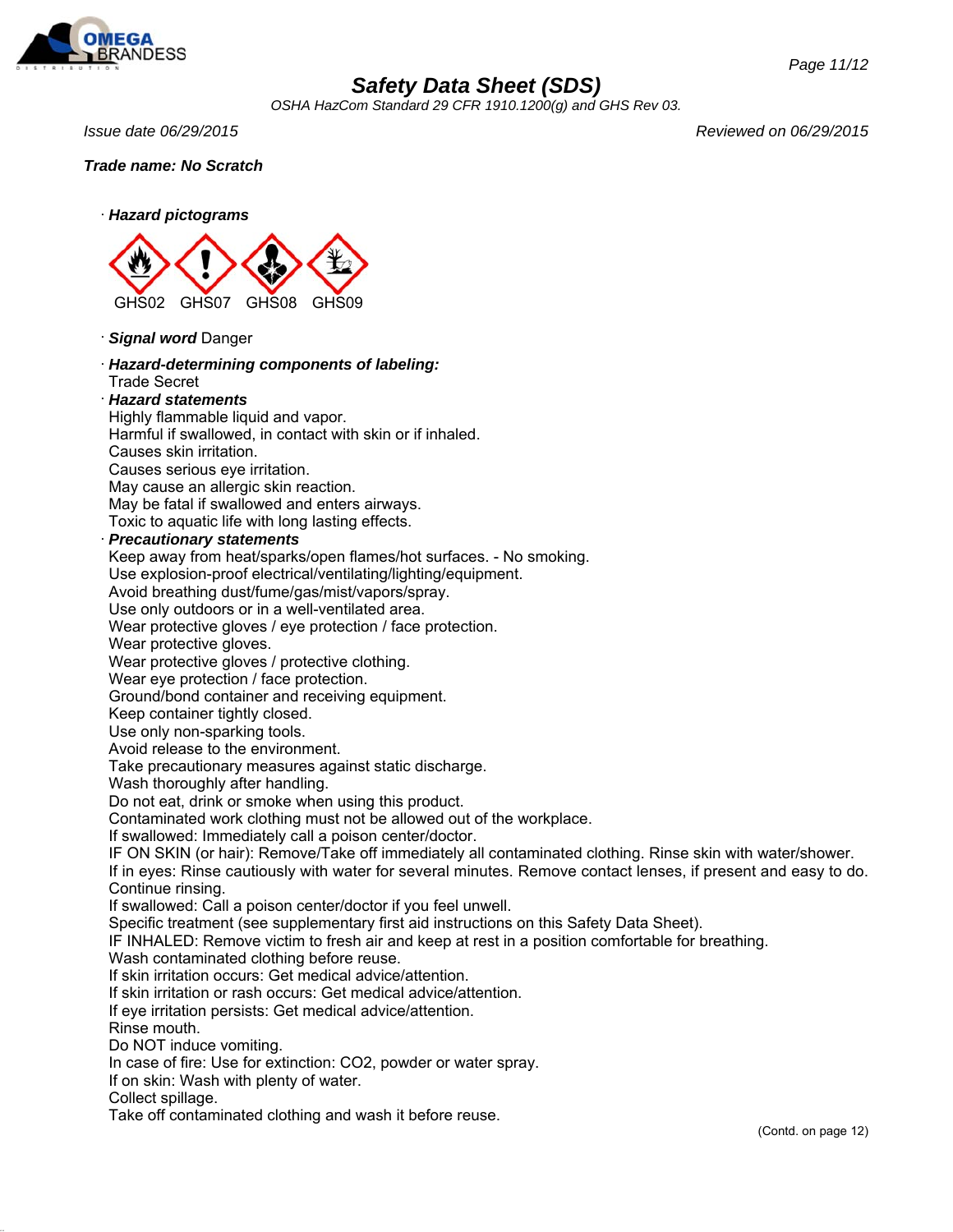

*OSHA HazCom Standard 29 CFR 1910.1200(g) and GHS Rev 03.*

*Issue date 06/29/2015 Reviewed on 06/29/2015*

*Page 11/12*

*Trade name: No Scratch*



· *Signal word* Danger

· *Hazard-determining components of labeling:* Trade Secret

### · *Hazard statements*

Highly flammable liquid and vapor.

Harmful if swallowed, in contact with skin or if inhaled.

Causes skin irritation.

Causes serious eye irritation.

May cause an allergic skin reaction.

May be fatal if swallowed and enters airways.

Toxic to aquatic life with long lasting effects.

### · *Precautionary statements*

Keep away from heat/sparks/open flames/hot surfaces. - No smoking.

Use explosion-proof electrical/ventilating/lighting/equipment.

Avoid breathing dust/fume/gas/mist/vapors/spray.

Use only outdoors or in a well-ventilated area.

Wear protective gloves / eye protection / face protection.

Wear protective gloves.

Wear protective gloves / protective clothing.

Wear eye protection / face protection.

Ground/bond container and receiving equipment.

Keep container tightly closed.

Use only non-sparking tools.

Avoid release to the environment.

Take precautionary measures against static discharge.

Wash thoroughly after handling.

Do not eat, drink or smoke when using this product.

Contaminated work clothing must not be allowed out of the workplace.

If swallowed: Immediately call a poison center/doctor.

IF ON SKIN (or hair): Remove/Take off immediately all contaminated clothing. Rinse skin with water/shower.

If in eyes: Rinse cautiously with water for several minutes. Remove contact lenses, if present and easy to do. Continue rinsing.

If swallowed: Call a poison center/doctor if you feel unwell.

Specific treatment (see supplementary first aid instructions on this Safety Data Sheet).

IF INHALED: Remove victim to fresh air and keep at rest in a position comfortable for breathing.

Wash contaminated clothing before reuse.

If skin irritation occurs: Get medical advice/attention.

If skin irritation or rash occurs: Get medical advice/attention.

If eye irritation persists: Get medical advice/attention.

Rinse mouth.

Do NOT induce vomiting.

In case of fire: Use for extinction: CO2, powder or water spray.

If on skin: Wash with plenty of water.

Collect spillage.

Take off contaminated clothing and wash it before reuse.